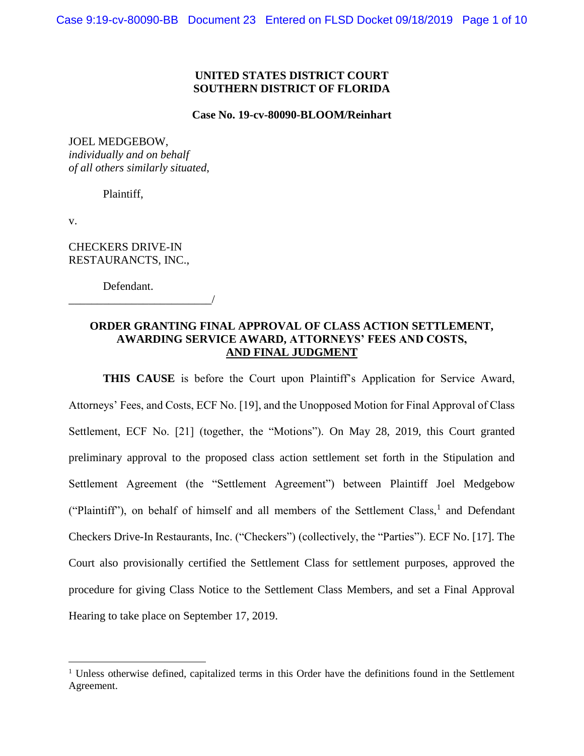## **UNITED STATES DISTRICT COURT SOUTHERN DISTRICT OF FLORIDA**

#### **Case No. 19-cv-80090-BLOOM/Reinhart**

#### JOEL MEDGEBOW,

*individually and on behalf of all others similarly situated*,

Plaintiff,

v.

 $\overline{a}$ 

CHECKERS DRIVE-IN RESTAURANCTS, INC.,

Defendant.

\_\_\_\_\_\_\_\_\_\_\_\_\_\_\_\_\_\_\_\_\_\_\_\_\_/

## **ORDER GRANTING FINAL APPROVAL OF CLASS ACTION SETTLEMENT, AWARDING SERVICE AWARD, ATTORNEYS' FEES AND COSTS, AND FINAL JUDGMENT**

**THIS CAUSE** is before the Court upon Plaintiff's Application for Service Award, Attorneys' Fees, and Costs, ECF No. [19], and the Unopposed Motion for Final Approval of Class Settlement, ECF No. [21] (together, the "Motions"). On May 28, 2019, this Court granted preliminary approval to the proposed class action settlement set forth in the Stipulation and Settlement Agreement (the "Settlement Agreement") between Plaintiff Joel Medgebow ("Plaintiff"), on behalf of himself and all members of the Settlement Class, $<sup>1</sup>$  and Defendant</sup> Checkers Drive-In Restaurants, Inc. ("Checkers") (collectively, the "Parties"). ECF No. [17]. The Court also provisionally certified the Settlement Class for settlement purposes, approved the procedure for giving Class Notice to the Settlement Class Members, and set a Final Approval Hearing to take place on September 17, 2019.

 $1$  Unless otherwise defined, capitalized terms in this Order have the definitions found in the Settlement Agreement.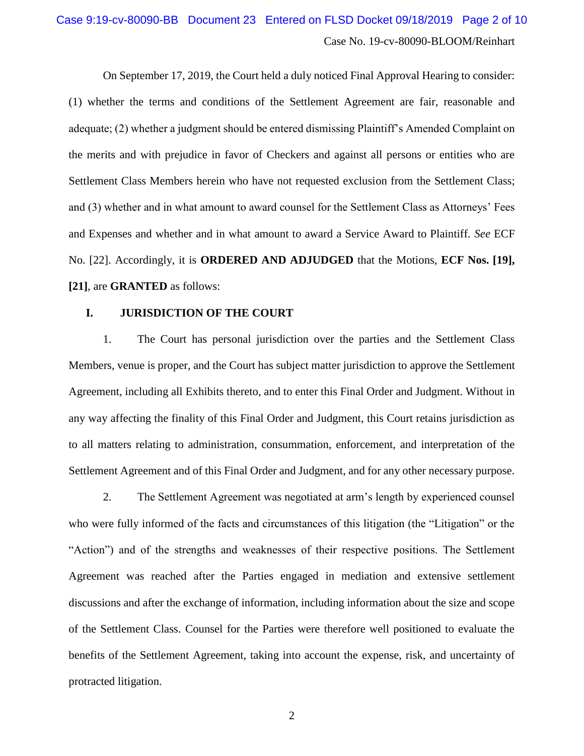# Case No. 19-cv-80090-BLOOM/Reinhart Case 9:19-cv-80090-BB Document 23 Entered on FLSD Docket 09/18/2019 Page 2 of 10

On September 17, 2019, the Court held a duly noticed Final Approval Hearing to consider: (1) whether the terms and conditions of the Settlement Agreement are fair, reasonable and adequate; (2) whether a judgment should be entered dismissing Plaintiff's Amended Complaint on the merits and with prejudice in favor of Checkers and against all persons or entities who are Settlement Class Members herein who have not requested exclusion from the Settlement Class; and (3) whether and in what amount to award counsel for the Settlement Class as Attorneys' Fees and Expenses and whether and in what amount to award a Service Award to Plaintiff. *See* ECF No. [22]. Accordingly, it is **ORDERED AND ADJUDGED** that the Motions, **ECF Nos. [19], [21]**, are **GRANTED** as follows:

## **I. JURISDICTION OF THE COURT**

1. The Court has personal jurisdiction over the parties and the Settlement Class Members, venue is proper, and the Court has subject matter jurisdiction to approve the Settlement Agreement, including all Exhibits thereto, and to enter this Final Order and Judgment. Without in any way affecting the finality of this Final Order and Judgment, this Court retains jurisdiction as to all matters relating to administration, consummation, enforcement, and interpretation of the Settlement Agreement and of this Final Order and Judgment, and for any other necessary purpose.

2. The Settlement Agreement was negotiated at arm's length by experienced counsel who were fully informed of the facts and circumstances of this litigation (the "Litigation" or the "Action") and of the strengths and weaknesses of their respective positions. The Settlement Agreement was reached after the Parties engaged in mediation and extensive settlement discussions and after the exchange of information, including information about the size and scope of the Settlement Class. Counsel for the Parties were therefore well positioned to evaluate the benefits of the Settlement Agreement, taking into account the expense, risk, and uncertainty of protracted litigation.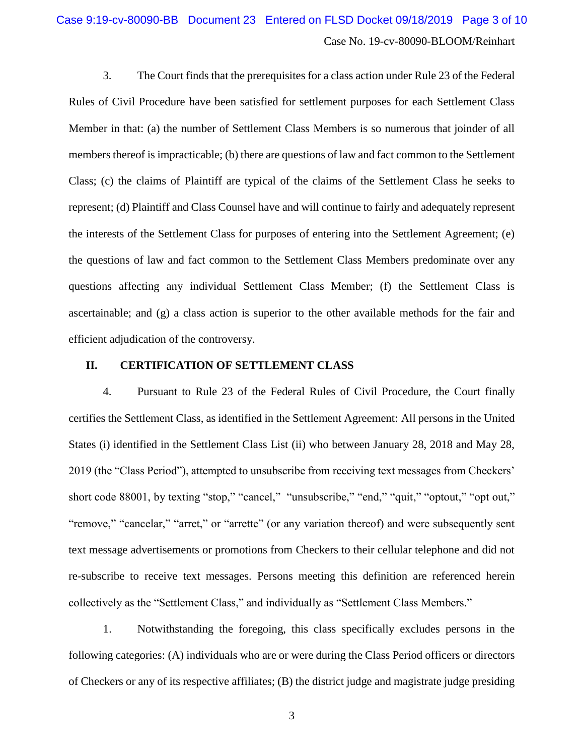# Case No. 19-cv-80090-BLOOM/Reinhart Case 9:19-cv-80090-BB Document 23 Entered on FLSD Docket 09/18/2019 Page 3 of 10

3. The Court finds that the prerequisites for a class action under Rule 23 of the Federal Rules of Civil Procedure have been satisfied for settlement purposes for each Settlement Class Member in that: (a) the number of Settlement Class Members is so numerous that joinder of all members thereof is impracticable; (b) there are questions of law and fact common to the Settlement Class; (c) the claims of Plaintiff are typical of the claims of the Settlement Class he seeks to represent; (d) Plaintiff and Class Counsel have and will continue to fairly and adequately represent the interests of the Settlement Class for purposes of entering into the Settlement Agreement; (e) the questions of law and fact common to the Settlement Class Members predominate over any questions affecting any individual Settlement Class Member; (f) the Settlement Class is ascertainable; and (g) a class action is superior to the other available methods for the fair and efficient adjudication of the controversy.

## **II. CERTIFICATION OF SETTLEMENT CLASS**

4. Pursuant to Rule 23 of the Federal Rules of Civil Procedure, the Court finally certifies the Settlement Class, as identified in the Settlement Agreement: All persons in the United States (i) identified in the Settlement Class List (ii) who between January 28, 2018 and May 28, 2019 (the "Class Period"), attempted to unsubscribe from receiving text messages from Checkers' short code 88001, by texting "stop," "cancel," "unsubscribe," "end," "quit," "optout," "opt out," "remove," "cancelar," "arret," or "arrette" (or any variation thereof) and were subsequently sent text message advertisements or promotions from Checkers to their cellular telephone and did not re-subscribe to receive text messages. Persons meeting this definition are referenced herein collectively as the "Settlement Class," and individually as "Settlement Class Members."

1. Notwithstanding the foregoing, this class specifically excludes persons in the following categories: (A) individuals who are or were during the Class Period officers or directors of Checkers or any of its respective affiliates; (B) the district judge and magistrate judge presiding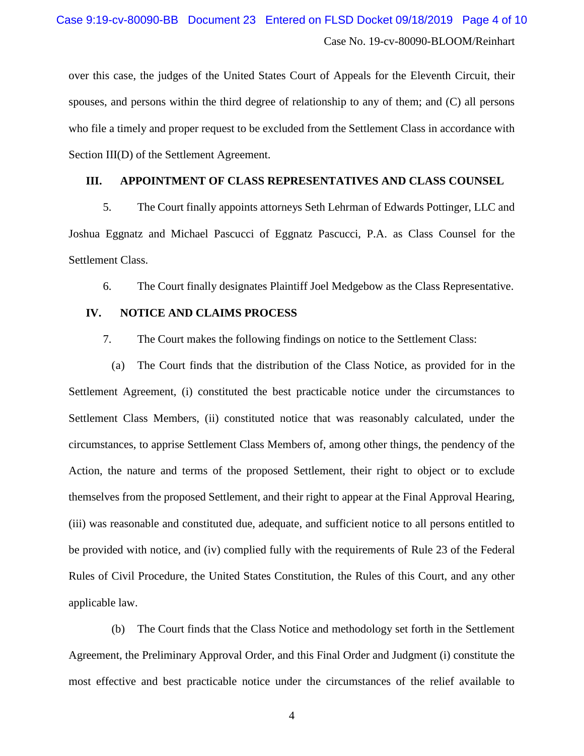# Case No. 19-cv-80090-BLOOM/Reinhart Case 9:19-cv-80090-BB Document 23 Entered on FLSD Docket 09/18/2019 Page 4 of 10

over this case, the judges of the United States Court of Appeals for the Eleventh Circuit, their spouses, and persons within the third degree of relationship to any of them; and (C) all persons who file a timely and proper request to be excluded from the Settlement Class in accordance with Section III(D) of the Settlement Agreement.

## **III. APPOINTMENT OF CLASS REPRESENTATIVES AND CLASS COUNSEL**

5. The Court finally appoints attorneys Seth Lehrman of Edwards Pottinger, LLC and Joshua Eggnatz and Michael Pascucci of Eggnatz Pascucci, P.A. as Class Counsel for the Settlement Class.

6. The Court finally designates Plaintiff Joel Medgebow as the Class Representative.

## **IV. NOTICE AND CLAIMS PROCESS**

7. The Court makes the following findings on notice to the Settlement Class:

(a) The Court finds that the distribution of the Class Notice, as provided for in the Settlement Agreement, (i) constituted the best practicable notice under the circumstances to Settlement Class Members, (ii) constituted notice that was reasonably calculated, under the circumstances, to apprise Settlement Class Members of, among other things, the pendency of the Action, the nature and terms of the proposed Settlement, their right to object or to exclude themselves from the proposed Settlement, and their right to appear at the Final Approval Hearing, (iii) was reasonable and constituted due, adequate, and sufficient notice to all persons entitled to be provided with notice, and (iv) complied fully with the requirements of Rule 23 of the Federal Rules of Civil Procedure, the United States Constitution, the Rules of this Court, and any other applicable law.

(b) The Court finds that the Class Notice and methodology set forth in the Settlement Agreement, the Preliminary Approval Order, and this Final Order and Judgment (i) constitute the most effective and best practicable notice under the circumstances of the relief available to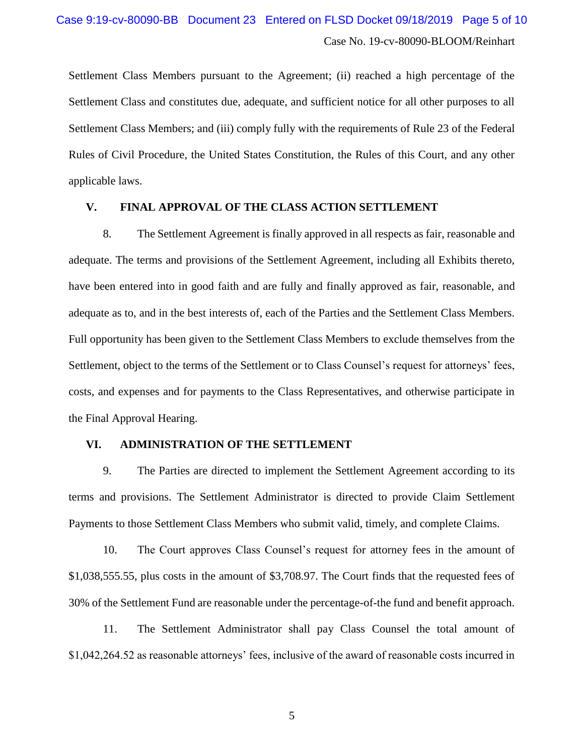Settlement Class Members pursuant to the Agreement; (ii) reached a high percentage of the Settlement Class and constitutes due, adequate, and sufficient notice for all other purposes to all Settlement Class Members; and (iii) comply fully with the requirements of Rule 23 of the Federal Rules of Civil Procedure, the United States Constitution, the Rules of this Court, and any other applicable laws.

## **V. FINAL APPROVAL OF THE CLASS ACTION SETTLEMENT**

8. The Settlement Agreement is finally approved in all respects as fair, reasonable and adequate. The terms and provisions of the Settlement Agreement, including all Exhibits thereto, have been entered into in good faith and are fully and finally approved as fair, reasonable, and adequate as to, and in the best interests of, each of the Parties and the Settlement Class Members. Full opportunity has been given to the Settlement Class Members to exclude themselves from the Settlement, object to the terms of the Settlement or to Class Counsel's request for attorneys' fees, costs, and expenses and for payments to the Class Representatives, and otherwise participate in the Final Approval Hearing.

## **VI. ADMINISTRATION OF THE SETTLEMENT**

9. The Parties are directed to implement the Settlement Agreement according to its terms and provisions. The Settlement Administrator is directed to provide Claim Settlement Payments to those Settlement Class Members who submit valid, timely, and complete Claims.

10. The Court approves Class Counsel's request for attorney fees in the amount of \$1,038,555.55, plus costs in the amount of \$3,708.97. The Court finds that the requested fees of 30% of the Settlement Fund are reasonable under the percentage-of-the fund and benefit approach.

11. The Settlement Administrator shall pay Class Counsel the total amount of \$1,042,264.52 as reasonable attorneys' fees, inclusive of the award of reasonable costs incurred in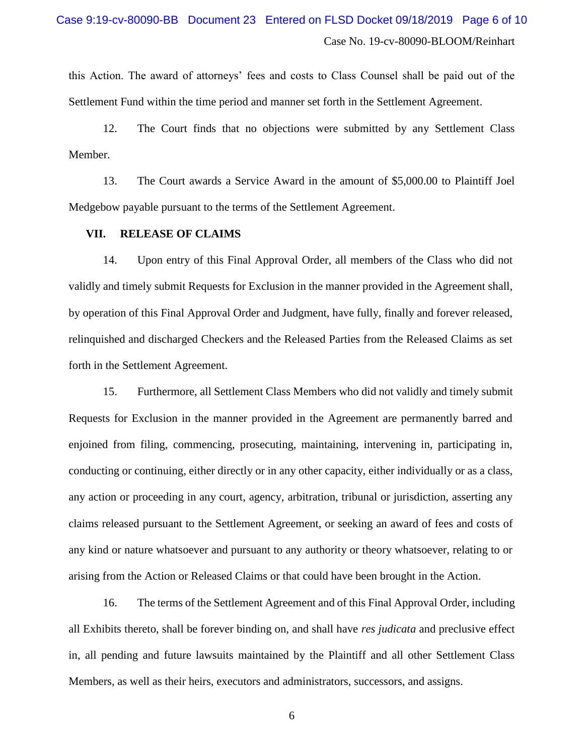this Action. The award of attorneys' fees and costs to Class Counsel shall be paid out of the Settlement Fund within the time period and manner set forth in the Settlement Agreement.

12. The Court finds that no objections were submitted by any Settlement Class Member.

13. The Court awards a Service Award in the amount of \$5,000.00 to Plaintiff Joel Medgebow payable pursuant to the terms of the Settlement Agreement.

## **VII. RELEASE OF CLAIMS**

14. Upon entry of this Final Approval Order, all members of the Class who did not validly and timely submit Requests for Exclusion in the manner provided in the Agreement shall, by operation of this Final Approval Order and Judgment, have fully, finally and forever released, relinquished and discharged Checkers and the Released Parties from the Released Claims as set forth in the Settlement Agreement.

15. Furthermore, all Settlement Class Members who did not validly and timely submit Requests for Exclusion in the manner provided in the Agreement are permanently barred and enjoined from filing, commencing, prosecuting, maintaining, intervening in, participating in, conducting or continuing, either directly or in any other capacity, either individually or as a class, any action or proceeding in any court, agency, arbitration, tribunal or jurisdiction, asserting any claims released pursuant to the Settlement Agreement, or seeking an award of fees and costs of any kind or nature whatsoever and pursuant to any authority or theory whatsoever, relating to or arising from the Action or Released Claims or that could have been brought in the Action.

16. The terms of the Settlement Agreement and of this Final Approval Order, including all Exhibits thereto, shall be forever binding on, and shall have *res judicata* and preclusive effect in, all pending and future lawsuits maintained by the Plaintiff and all other Settlement Class Members, as well as their heirs, executors and administrators, successors, and assigns.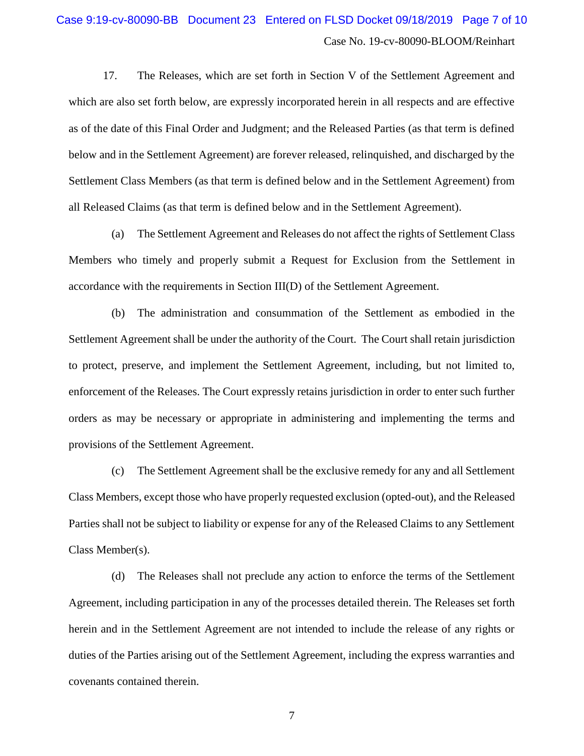## Case No. 19-cv-80090-BLOOM/Reinhart Case 9:19-cv-80090-BB Document 23 Entered on FLSD Docket 09/18/2019 Page 7 of 10

17. The Releases, which are set forth in Section V of the Settlement Agreement and which are also set forth below, are expressly incorporated herein in all respects and are effective as of the date of this Final Order and Judgment; and the Released Parties (as that term is defined below and in the Settlement Agreement) are forever released, relinquished, and discharged by the Settlement Class Members (as that term is defined below and in the Settlement Agreement) from all Released Claims (as that term is defined below and in the Settlement Agreement).

(a) The Settlement Agreement and Releases do not affect the rights of Settlement Class Members who timely and properly submit a Request for Exclusion from the Settlement in accordance with the requirements in Section III(D) of the Settlement Agreement.

(b) The administration and consummation of the Settlement as embodied in the Settlement Agreement shall be under the authority of the Court. The Court shall retain jurisdiction to protect, preserve, and implement the Settlement Agreement, including, but not limited to, enforcement of the Releases. The Court expressly retains jurisdiction in order to enter such further orders as may be necessary or appropriate in administering and implementing the terms and provisions of the Settlement Agreement.

(c) The Settlement Agreement shall be the exclusive remedy for any and all Settlement Class Members, except those who have properly requested exclusion (opted-out), and the Released Parties shall not be subject to liability or expense for any of the Released Claims to any Settlement Class Member(s).

(d) The Releases shall not preclude any action to enforce the terms of the Settlement Agreement, including participation in any of the processes detailed therein. The Releases set forth herein and in the Settlement Agreement are not intended to include the release of any rights or duties of the Parties arising out of the Settlement Agreement, including the express warranties and covenants contained therein.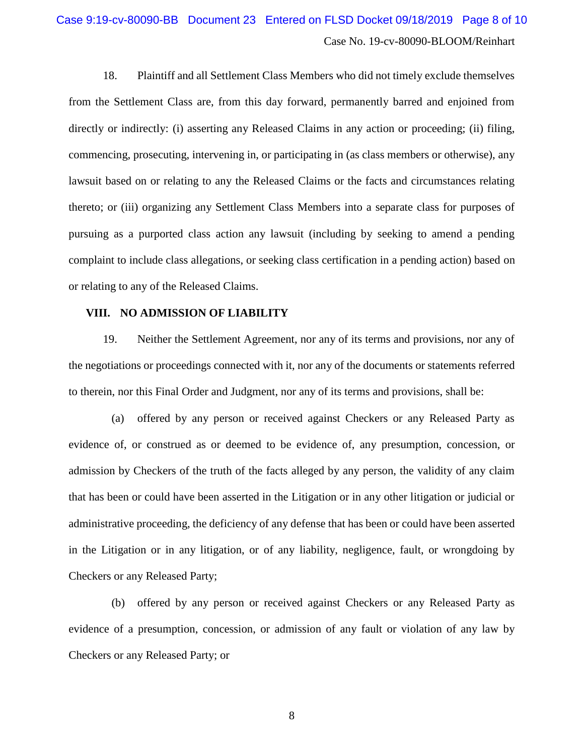# Case No. 19-cv-80090-BLOOM/Reinhart Case 9:19-cv-80090-BB Document 23 Entered on FLSD Docket 09/18/2019 Page 8 of 10

18. Plaintiff and all Settlement Class Members who did not timely exclude themselves from the Settlement Class are, from this day forward, permanently barred and enjoined from directly or indirectly: (i) asserting any Released Claims in any action or proceeding; (ii) filing, commencing, prosecuting, intervening in, or participating in (as class members or otherwise), any lawsuit based on or relating to any the Released Claims or the facts and circumstances relating thereto; or (iii) organizing any Settlement Class Members into a separate class for purposes of pursuing as a purported class action any lawsuit (including by seeking to amend a pending complaint to include class allegations, or seeking class certification in a pending action) based on or relating to any of the Released Claims.

## **VIII. NO ADMISSION OF LIABILITY**

19. Neither the Settlement Agreement, nor any of its terms and provisions, nor any of the negotiations or proceedings connected with it, nor any of the documents or statements referred to therein, nor this Final Order and Judgment, nor any of its terms and provisions, shall be:

(a) offered by any person or received against Checkers or any Released Party as evidence of, or construed as or deemed to be evidence of, any presumption, concession, or admission by Checkers of the truth of the facts alleged by any person, the validity of any claim that has been or could have been asserted in the Litigation or in any other litigation or judicial or administrative proceeding, the deficiency of any defense that has been or could have been asserted in the Litigation or in any litigation, or of any liability, negligence, fault, or wrongdoing by Checkers or any Released Party;

(b) offered by any person or received against Checkers or any Released Party as evidence of a presumption, concession, or admission of any fault or violation of any law by Checkers or any Released Party; or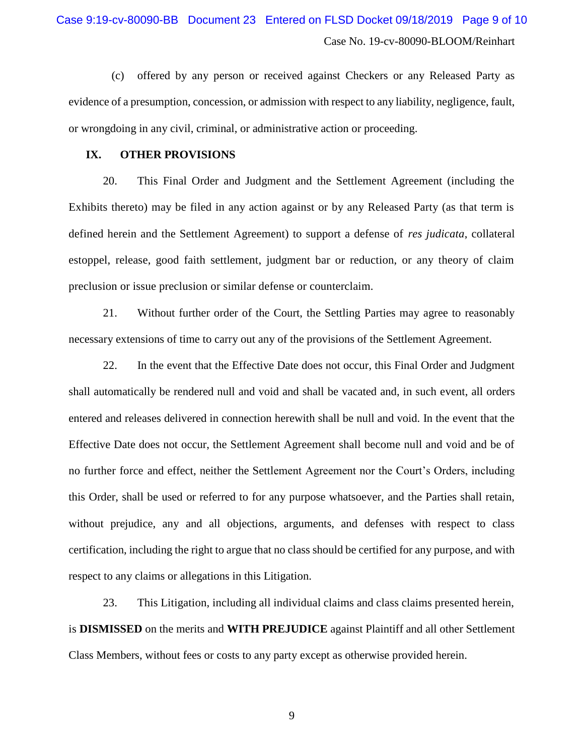(c) offered by any person or received against Checkers or any Released Party as evidence of a presumption, concession, or admission with respect to any liability, negligence, fault, or wrongdoing in any civil, criminal, or administrative action or proceeding.

## **IX. OTHER PROVISIONS**

20. This Final Order and Judgment and the Settlement Agreement (including the Exhibits thereto) may be filed in any action against or by any Released Party (as that term is defined herein and the Settlement Agreement) to support a defense of *res judicata*, collateral estoppel, release, good faith settlement, judgment bar or reduction, or any theory of claim preclusion or issue preclusion or similar defense or counterclaim.

21. Without further order of the Court, the Settling Parties may agree to reasonably necessary extensions of time to carry out any of the provisions of the Settlement Agreement.

22. In the event that the Effective Date does not occur, this Final Order and Judgment shall automatically be rendered null and void and shall be vacated and, in such event, all orders entered and releases delivered in connection herewith shall be null and void. In the event that the Effective Date does not occur, the Settlement Agreement shall become null and void and be of no further force and effect, neither the Settlement Agreement nor the Court's Orders, including this Order, shall be used or referred to for any purpose whatsoever, and the Parties shall retain, without prejudice, any and all objections, arguments, and defenses with respect to class certification, including the right to argue that no class should be certified for any purpose, and with respect to any claims or allegations in this Litigation.

23. This Litigation, including all individual claims and class claims presented herein, is **DISMISSED** on the merits and **WITH PREJUDICE** against Plaintiff and all other Settlement Class Members, without fees or costs to any party except as otherwise provided herein.